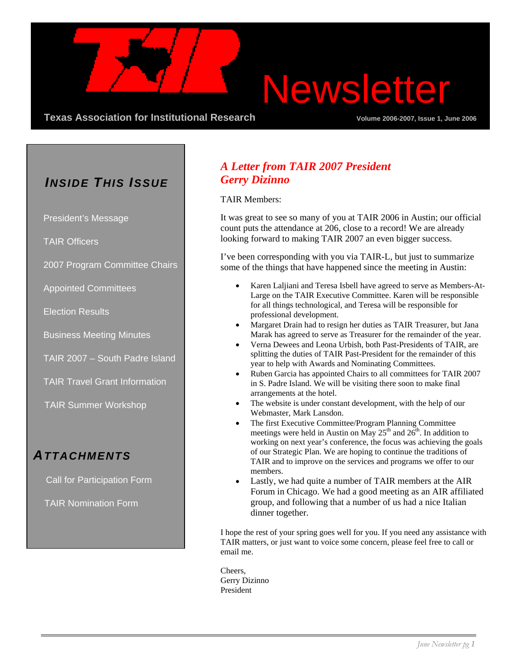# Newsletter

**Texas Association for Institutional Research Server Comment 2006-2007, Issue 1, June 2006-2007** 

### *INSIDE THIS ISSUE*

President's Message

TAIR Officers

2007 Program Committee Chairs

Appointed Committees

Election Results

Business Meeting Minutes

TAIR 2007 – South Padre Island

TAIR Travel Grant Information

TAIR Summer Workshop

### *ATTACHMENTS*

Call for Participation Form

TAIR Nomination Form

#### *A Letter from TAIR 2007 President Gerry Dizinno*

TAIR Members:

It was great to see so many of you at TAIR 2006 in Austin; our official count puts the attendance at 206, close to a record! We are already looking forward to making TAIR 2007 an even bigger success.

I've been corresponding with you via TAIR-L, but just to summarize some of the things that have happened since the meeting in Austin:

- Karen Laljiani and Teresa Isbell have agreed to serve as Members-At-Large on the TAIR Executive Committee. Karen will be responsible for all things technological, and Teresa will be responsible for professional development.
- Margaret Drain had to resign her duties as TAIR Treasurer, but Jana Marak has agreed to serve as Treasurer for the remainder of the year.
- Verna Dewees and Leona Urbish, both Past-Presidents of TAIR, are splitting the duties of TAIR Past-President for the remainder of this year to help with Awards and Nominating Committees.
- Ruben Garcia has appointed Chairs to all committees for TAIR 2007 in S. Padre Island. We will be visiting there soon to make final arrangements at the hotel.
- The website is under constant development, with the help of our Webmaster, Mark Lansdon.
- The first Executive Committee/Program Planning Committee meetings were held in Austin on May  $25<sup>th</sup>$  and  $26<sup>th</sup>$ . In addition to working on next year's conference, the focus was achieving the goals of our Strategic Plan. We are hoping to continue the traditions of TAIR and to improve on the services and programs we offer to our members.
- Lastly, we had quite a number of TAIR members at the AIR Forum in Chicago. We had a good meeting as an AIR affiliated group, and following that a number of us had a nice Italian dinner together.

I hope the rest of your spring goes well for you. If you need any assistance with TAIR matters, or just want to voice some concern, please feel free to call or email me.

Cheers, Gerry Dizinno President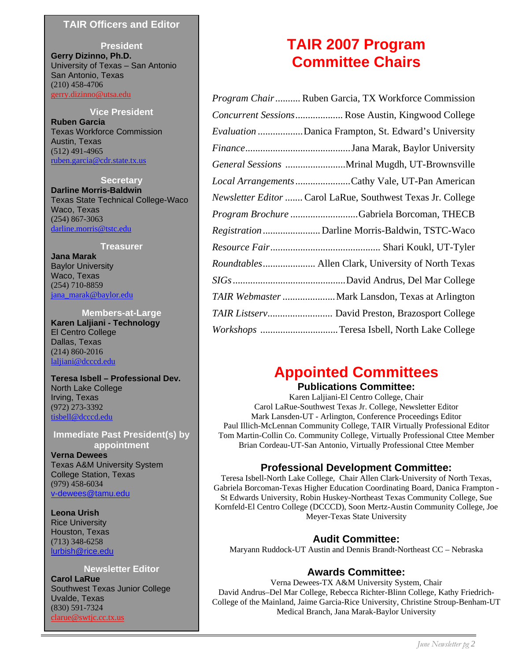#### **TAIR Officers and Editor**

**President Gerry Dizinno, Ph.D.** University of Texas – San Antonio San Antonio, Texas (210) 458-4706 [gerry.dizinno@utsa.edu](mailto:gerry.dizinno@utsa.edu)

**Vice President Ruben Garcia** Texas Workforce Commission Austin, Texas (512) 491-4965 [ruben.garcia@cdr.state.tx.us](mailto:ruben.garcia@cdr.state.tx.us)

**Secretary Darline Morris-Baldwin** Texas State Technical College-Waco Waco, Texas (254) 867-3063 [darline.morris@tstc.edu](mailto:darline.morris@tstc.edu)

#### **Treasurer**

**Jana Marak**  Baylor University Waco, Texas (254) 710-8859 [jana\\_marak@baylor.edu](mailto:jana_marak@baylor.edu)

**Members-at-Large Karen Laljiani - Technology** El Centro College Dallas, Texas (214) 860-2016 [laljiani@dcccd.edu](mailto:laljiani@dcccd.edu)

**Teresa Isbell – Professional Dev.** North Lake College Irving, Texas (972) 273-3392 [tisbell@dcccd.edu](mailto:tisbell@dcccd.edu)

**Immediate Past President(s) by appointment** 

**Verna Dewees**  Texas A&M University System College Station, Texas (979) 458-6034 [v-dewees@tamu.edu](mailto:v-dewees@tamu.edu)

**Leona Urish** Rice University Houston, Texas (713) 348-6258 [lurbish@rice.edu](mailto:lurbish@rice.edu)

#### **Newsletter Editor**

**Carol LaRue** Southwest Texas Junior College Uvalde, Texas (830) 591-7324 [clarue@swtjc.cc.tx.us](mailto:clarue@swtjc.cc.tx.us)

### **TAIR 2007 Program Committee Chairs**

| <i>Program Chair</i> Ruben Garcia, TX Workforce Commission  |
|-------------------------------------------------------------|
| Concurrent Sessions Rose Austin, Kingwood College           |
| <i>Evaluation</i> Danica Frampton, St. Edward's University  |
|                                                             |
| General Sessions Mrinal Mugdh, UT-Brownsville               |
| Local Arrangements Cathy Vale, UT-Pan American              |
| Newsletter Editor  Carol LaRue, Southwest Texas Jr. College |
| Program Brochure Gabriela Borcoman, THECB                   |
|                                                             |
|                                                             |
| Roundtables Allen Clark, University of North Texas          |
|                                                             |
| TAIR Webmaster  Mark Lansdon, Texas at Arlington            |
|                                                             |
| Workshops Teresa Isbell, North Lake College                 |

### **Appointed Committees**

#### **Publications Committee:**

Karen Laljiani-El Centro College, Chair Carol LaRue-Southwest Texas Jr. College, Newsletter Editor Mark Lansden-UT - Arlington, Conference Proceedings Editor Paul Illich-McLennan Community College, TAIR Virtually Professional Editor Tom Martin-Collin Co. Community College, Virtually Professional Cttee Member Brian Cordeau-UT-San Antonio, Virtually Professional Cttee Member

#### **Professional Development Committee:**

Teresa Isbell-North Lake College, Chair Allen Clark-University of North Texas, Gabriela Borcoman-Texas Higher Education Coordinating Board, Danica Frampton - St Edwards University, Robin Huskey-Northeast Texas Community College, Sue Kornfeld-El Centro College (DCCCD), Soon Mertz-Austin Community College, Joe Meyer-Texas State University

#### **Audit Committee:**

Maryann Ruddock-UT Austin and Dennis Brandt-Northeast CC – Nebraska

#### **Awards Committee:**

Verna Dewees-TX A&M University System, Chair David Andrus–Del Mar College, Rebecca Richter-Blinn College, Kathy Friedrich-College of the Mainland, Jaime Garcia-Rice University, Christine Stroup-Benham-UT Medical Branch, Jana Marak-Baylor University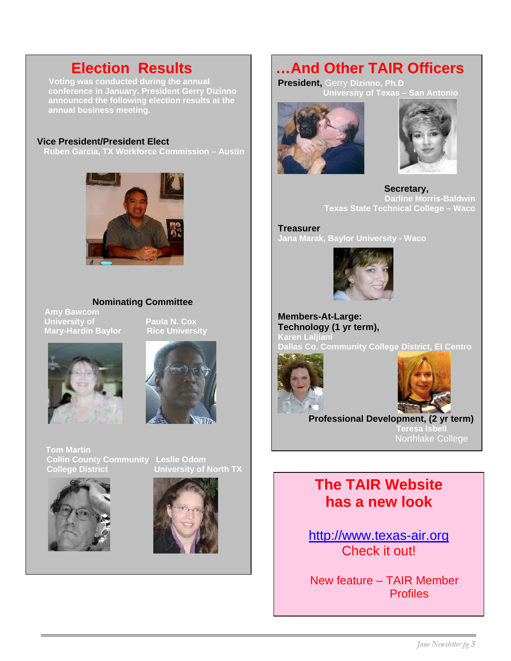**Voting was conducted during the annual conference in January. President Gerry Dizinno announced the following election results at the annual business meeting.** 

#### **Vice President/President Elect**

 **Ruben Garcia, TX Workforce Commission – Austin** 



#### **Nominating Committee**

**Amy Bawcom University of Paula N. Cox Mary-Hardin Baylor Rice University**





**Tom Martin Collin County Community Leslie Odom College District University of North TX** 



ׇ֦֘֡֡



 **Election Results …And Other TAIR Officers** 

**President,** Gerry **Dizinno, Ph.D University of Texas – San Antonio**





 **Secretary, Darline Morris-Baldwin Texas State Technical College – Waco** 

**Treasurer Jana Marak, Baylor University - Waco** 



**Members-At-Large: Technology (1 yr term), Karen Laljiani Dallas Co. Community College District, El Centro** 





 **Professional Development, (2 yr term) Teresa Isbell** Northlake College

### **The TAIR Website has a new look**

[http://www.texas-air.org](http://www.texas-air.org/) Check it out!

New feature – TAIR Member **Profiles**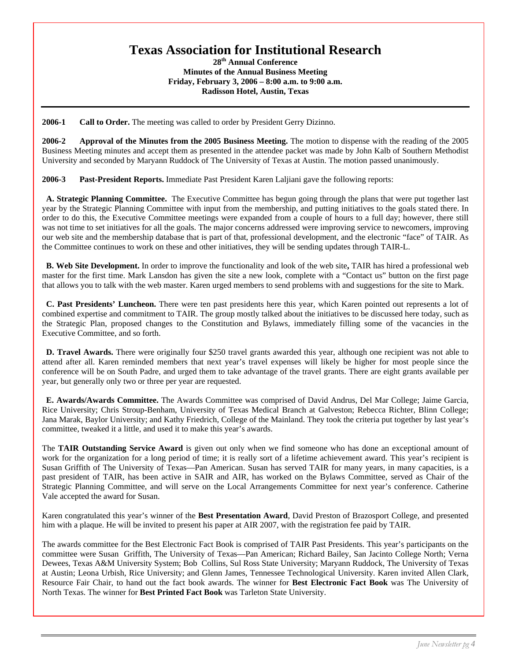### **Texas Association for Institutional Research**

**28th Annual Conference Minutes of the Annual Business Meeting Friday, February 3, 2006 – 8:00 a.m. to 9:00 a.m. Radisson Hotel, Austin, Texas**

**2006-1 Call to Order.** The meeting was called to order by President Gerry Dizinno.

**2006-2 Approval of the Minutes from the 2005 Business Meeting.** The motion to dispense with the reading of the 2005 Business Meeting minutes and accept them as presented in the attendee packet was made by John Kalb of Southern Methodist University and seconded by Maryann Ruddock of The University of Texas at Austin. The motion passed unanimously.

**2006-3 Past-President Reports.** Immediate Past President Karen Laljiani gave the following reports:

 **A. Strategic Planning Committee.** The Executive Committee has begun going through the plans that were put together last year by the Strategic Planning Committee with input from the membership, and putting initiatives to the goals stated there. In order to do this, the Executive Committee meetings were expanded from a couple of hours to a full day; however, there still was not time to set initiatives for all the goals. The major concerns addressed were improving service to newcomers, improving our web site and the membership database that is part of that, professional development, and the electronic "face" of TAIR. As the Committee continues to work on these and other initiatives, they will be sending updates through TAIR-L.

 **B. Web Site Development.** In order to improve the functionality and look of the web site**,** TAIR has hired a professional web master for the first time. Mark Lansdon has given the site a new look, complete with a "Contact us" button on the first page that allows you to talk with the web master. Karen urged members to send problems with and suggestions for the site to Mark.

 **C. Past Presidents' Luncheon.** There were ten past presidents here this year, which Karen pointed out represents a lot of combined expertise and commitment to TAIR. The group mostly talked about the initiatives to be discussed here today, such as the Strategic Plan, proposed changes to the Constitution and Bylaws, immediately filling some of the vacancies in the Executive Committee, and so forth.

**D. Travel Awards.** There were originally four \$250 travel grants awarded this year, although one recipient was not able to attend after all. Karen reminded members that next year's travel expenses will likely be higher for most people since the conference will be on South Padre, and urged them to take advantage of the travel grants. There are eight grants available per year, but generally only two or three per year are requested.

 **E. Awards/Awards Committee.** The Awards Committee was comprised of David Andrus, Del Mar College; Jaime Garcia, Rice University; Chris Stroup-Benham, University of Texas Medical Branch at Galveston; Rebecca Richter, Blinn College; Jana Marak, Baylor University; and Kathy Friedrich, College of the Mainland. They took the criteria put together by last year's committee, tweaked it a little, and used it to make this year's awards.

The **TAIR Outstanding Service Award** is given out only when we find someone who has done an exceptional amount of work for the organization for a long period of time; it is really sort of a lifetime achievement award. This year's recipient is Susan Griffith of The University of Texas—Pan American. Susan has served TAIR for many years, in many capacities, is a past president of TAIR, has been active in SAIR and AIR, has worked on the Bylaws Committee, served as Chair of the Strategic Planning Committee, and will serve on the Local Arrangements Committee for next year's conference. Catherine Vale accepted the award for Susan.

Karen congratulated this year's winner of the **Best Presentation Award**, David Preston of Brazosport College, and presented him with a plaque. He will be invited to present his paper at AIR 2007, with the registration fee paid by TAIR.

The awards committee for the Best Electronic Fact Book is comprised of TAIR Past Presidents. This year's participants on the committee were Susan Griffith, The University of Texas—Pan American; Richard Bailey, San Jacinto College North; Verna Dewees, Texas A&M University System; Bob Collins, Sul Ross State University; Maryann Ruddock, The University of Texas at Austin; Leona Urbish, Rice University; and Glenn James, Tennessee Technological University. Karen invited Allen Clark, Resource Fair Chair, to hand out the fact book awards. The winner for **Best Electronic Fact Book** was The University of North Texas. The winner for **Best Printed Fact Book** was Tarleton State University.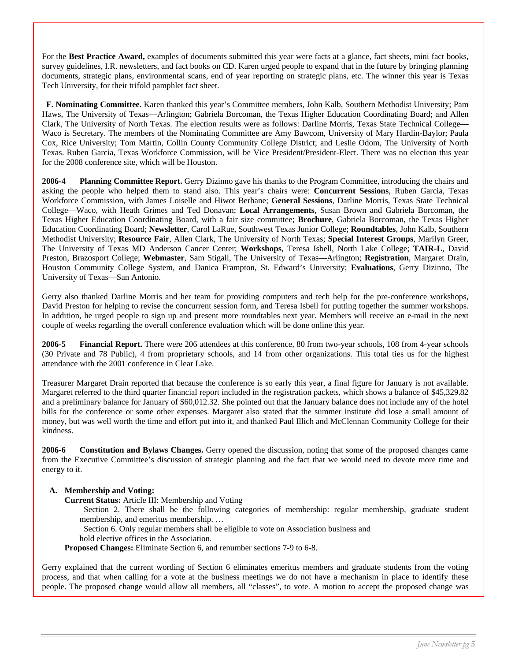For the **Best Practice Award,** examples of documents submitted this year were facts at a glance, fact sheets, mini fact books, survey guidelines, I.R. newsletters, and fact books on CD. Karen urged people to expand that in the future by bringing planning documents, strategic plans, environmental scans, end of year reporting on strategic plans, etc. The winner this year is Texas Tech University, for their trifold pamphlet fact sheet.

 **F. Nominating Committee.** Karen thanked this year's Committee members, John Kalb, Southern Methodist University; Pam Haws, The University of Texas—Arlington; Gabriela Borcoman, the Texas Higher Education Coordinating Board; and Allen Clark, The University of North Texas. The election results were as follows: Darline Morris, Texas State Technical College— Waco is Secretary. The members of the Nominating Committee are Amy Bawcom, University of Mary Hardin-Baylor; Paula Cox, Rice University; Tom Martin, Collin County Community College District; and Leslie Odom, The University of North Texas. Ruben Garcia, Texas Workforce Commission, will be Vice President/President-Elect. There was no election this year for the 2008 conference site, which will be Houston.

**2006-4 Planning Committee Report.** Gerry Dizinno gave his thanks to the Program Committee, introducing the chairs and asking the people who helped them to stand also. This year's chairs were: **Concurrent Sessions**, Ruben Garcia, Texas Workforce Commission, with James Loiselle and Hiwot Berhane; **General Sessions**, Darline Morris, Texas State Technical College—Waco, with Heath Grimes and Ted Donavan; **Local Arrangements**, Susan Brown and Gabriela Borcoman, the Texas Higher Education Coordinating Board, with a fair size committee; **Brochure**, Gabriela Borcoman, the Texas Higher Education Coordinating Board; **Newsletter**, Carol LaRue, Southwest Texas Junior College; **Roundtables**, John Kalb, Southern Methodist University; **Resource Fair**, Allen Clark, The University of North Texas; **Special Interest Groups**, Marilyn Greer, The University of Texas MD Anderson Cancer Center; **Workshops**, Teresa Isbell, North Lake College; **TAIR-L**, David Preston, Brazosport College; **Webmaster**, Sam Stigall, The University of Texas—Arlington; **Registration**, Margaret Drain, Houston Community College System, and Danica Frampton, St. Edward's University; **Evaluations**, Gerry Dizinno, The University of Texas—San Antonio.

Gerry also thanked Darline Morris and her team for providing computers and tech help for the pre-conference workshops, David Preston for helping to revise the concurrent session form, and Teresa Isbell for putting together the summer workshops. In addition, he urged people to sign up and present more roundtables next year. Members will receive an e-mail in the next couple of weeks regarding the overall conference evaluation which will be done online this year.

**2006-5 Financial Report.** There were 206 attendees at this conference, 80 from two-year schools, 108 from 4-year schools (30 Private and 78 Public), 4 from proprietary schools, and 14 from other organizations. This total ties us for the highest attendance with the 2001 conference in Clear Lake.

Treasurer Margaret Drain reported that because the conference is so early this year, a final figure for January is not available. Margaret referred to the third quarter financial report included in the registration packets, which shows a balance of \$45,329.82 and a preliminary balance for January of \$60,012.32. She pointed out that the January balance does not include any of the hotel bills for the conference or some other expenses. Margaret also stated that the summer institute did lose a small amount of money, but was well worth the time and effort put into it, and thanked Paul Illich and McClennan Community College for their kindness.

**2006-6 Constitution and Bylaws Changes.** Gerry opened the discussion, noting that some of the proposed changes came from the Executive Committee's discussion of strategic planning and the fact that we would need to devote more time and energy to it.

#### **A. Membership and Voting:**

 **Current Status:** Article III: Membership and Voting

Section 2. There shall be the following categories of membership: regular membership, graduate student membership, and emeritus membership. …

Section 6. Only regular members shall be eligible to vote on Association business and

hold elective offices in the Association.

**Proposed Changes:** Eliminate Section 6, and renumber sections 7-9 to 6-8.

Gerry explained that the current wording of Section 6 eliminates emeritus members and graduate students from the voting process, and that when calling for a vote at the business meetings we do not have a mechanism in place to identify these people. The proposed change would allow all members, all "classes", to vote. A motion to accept the proposed change was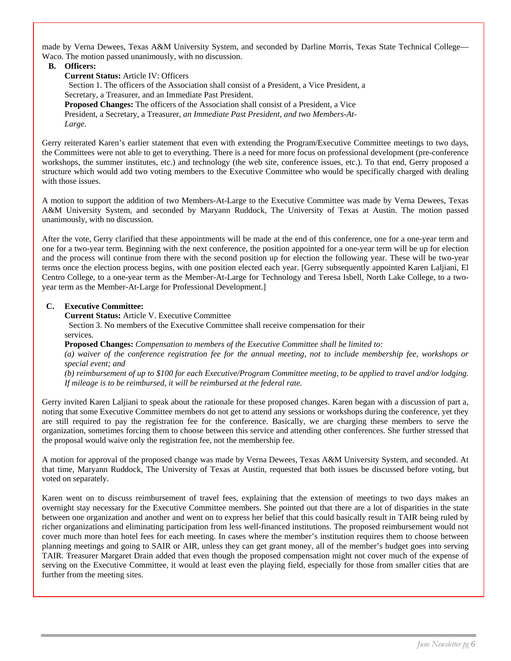made by Verna Dewees, Texas A&M University System, and seconded by Darline Morris, Texas State Technical College— Waco. The motion passed unanimously, with no discussion.

#### **B. Officers:**

**Current Status:** Article IV: Officers Section 1. The officers of the Association shall consist of a President, a Vice President, a Secretary, a Treasurer, and an Immediate Past President. **Proposed Changes:** The officers of the Association shall consist of a President, a Vice President, a Secretary, a Treasurer, *an Immediate Past President, and two Members-At- Large.* 

Gerry reiterated Karen's earlier statement that even with extending the Program/Executive Committee meetings to two days, the Committees were not able to get to everything. There is a need for more focus on professional development (pre-conference workshops, the summer institutes, etc.) and technology (the web site, conference issues, etc.). To that end, Gerry proposed a structure which would add two voting members to the Executive Committee who would be specifically charged with dealing with those issues.

A motion to support the addition of two Members-At-Large to the Executive Committee was made by Verna Dewees, Texas A&M University System, and seconded by Maryann Ruddock, The University of Texas at Austin. The motion passed unanimously, with no discussion.

After the vote, Gerry clarified that these appointments will be made at the end of this conference, one for a one-year term and one for a two-year term. Beginning with the next conference, the position appointed for a one-year term will be up for election and the process will continue from there with the second position up for election the following year. These will be two-year terms once the election process begins, with one position elected each year. [Gerry subsequently appointed Karen Laljiani, El Centro College, to a one-year term as the Member-At-Large for Technology and Teresa Isbell, North Lake College, to a twoyear term as the Member-At-Large for Professional Development.]

#### **C. Executive Committee:**

 **Current Status:** Article V. Executive Committee Section 3. No members of the Executive Committee shall receive compensation for their services.

**Proposed Changes:** *Compensation to members of the Executive Committee shall be limited to: (a) waiver of the conference registration fee for the annual meeting, not to include membership fee, workshops or special event; and* 

*(b) reimbursement of up to \$100 for each Executive/Program Committee meeting, to be applied to travel and/or lodging. If mileage is to be reimbursed, it will be reimbursed at the federal rate.* 

Gerry invited Karen Laljiani to speak about the rationale for these proposed changes. Karen began with a discussion of part a, noting that some Executive Committee members do not get to attend any sessions or workshops during the conference, yet they are still required to pay the registration fee for the conference. Basically, we are charging these members to serve the organization, sometimes forcing them to choose between this service and attending other conferences. She further stressed that the proposal would waive only the registration fee, not the membership fee.

A motion for approval of the proposed change was made by Verna Dewees, Texas A&M University System, and seconded. At that time, Maryann Ruddock, The University of Texas at Austin, requested that both issues be discussed before voting, but voted on separately.

Karen went on to discuss reimbursement of travel fees, explaining that the extension of meetings to two days makes an overnight stay necessary for the Executive Committee members. She pointed out that there are a lot of disparities in the state between one organization and another and went on to express her belief that this could basically result in TAIR being ruled by richer organizations and eliminating participation from less well-financed institutions. The proposed reimbursement would not cover much more than hotel fees for each meeting. In cases where the member's institution requires them to choose between planning meetings and going to SAIR or AIR, unless they can get grant money, all of the member's budget goes into serving TAIR. Treasurer Margaret Drain added that even though the proposed compensation might not cover much of the expense of serving on the Executive Committee, it would at least even the playing field, especially for those from smaller cities that are further from the meeting sites.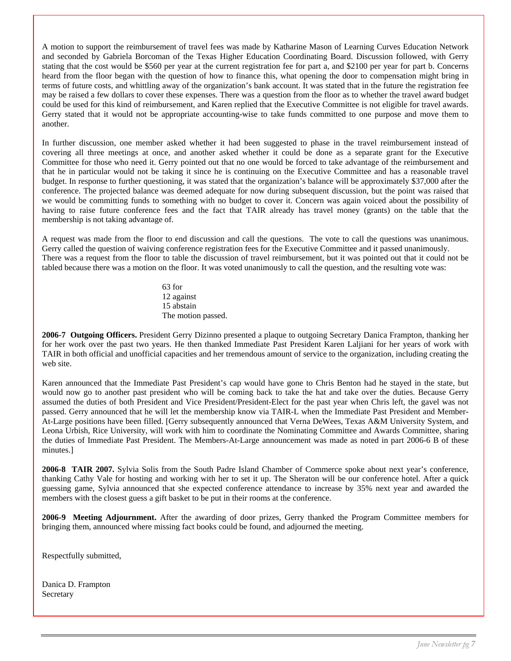A motion to support the reimbursement of travel fees was made by Katharine Mason of Learning Curves Education Network and seconded by Gabriela Borcoman of the Texas Higher Education Coordinating Board. Discussion followed, with Gerry stating that the cost would be \$560 per year at the current registration fee for part a, and \$2100 per year for part b. Concerns heard from the floor began with the question of how to finance this, what opening the door to compensation might bring in terms of future costs, and whittling away of the organization's bank account. It was stated that in the future the registration fee may be raised a few dollars to cover these expenses. There was a question from the floor as to whether the travel award budget could be used for this kind of reimbursement, and Karen replied that the Executive Committee is not eligible for travel awards. Gerry stated that it would not be appropriate accounting-wise to take funds committed to one purpose and move them to another.

In further discussion, one member asked whether it had been suggested to phase in the travel reimbursement instead of covering all three meetings at once, and another asked whether it could be done as a separate grant for the Executive Committee for those who need it. Gerry pointed out that no one would be forced to take advantage of the reimbursement and that he in particular would not be taking it since he is continuing on the Executive Committee and has a reasonable travel budget. In response to further questioning, it was stated that the organization's balance will be approximately \$37,000 after the conference. The projected balance was deemed adequate for now during subsequent discussion, but the point was raised that we would be committing funds to something with no budget to cover it. Concern was again voiced about the possibility of having to raise future conference fees and the fact that TAIR already has travel money (grants) on the table that the membership is not taking advantage of.

A request was made from the floor to end discussion and call the questions. The vote to call the questions was unanimous. Gerry called the question of waiving conference registration fees for the Executive Committee and it passed unanimously. There was a request from the floor to table the discussion of travel reimbursement, but it was pointed out that it could not be tabled because there was a motion on the floor. It was voted unanimously to call the question, and the resulting vote was:

> 63 for 12 against 15 abstain The motion passed.

**2006-7 Outgoing Officers.** President Gerry Dizinno presented a plaque to outgoing Secretary Danica Frampton, thanking her for her work over the past two years. He then thanked Immediate Past President Karen Laljiani for her years of work with TAIR in both official and unofficial capacities and her tremendous amount of service to the organization, including creating the web site.

Karen announced that the Immediate Past President's cap would have gone to Chris Benton had he stayed in the state, but would now go to another past president who will be coming back to take the hat and take over the duties. Because Gerry assumed the duties of both President and Vice President/President-Elect for the past year when Chris left, the gavel was not passed. Gerry announced that he will let the membership know via TAIR-L when the Immediate Past President and Member-At-Large positions have been filled. [Gerry subsequently announced that Verna DeWees, Texas A&M University System, and Leona Urbish, Rice University, will work with him to coordinate the Nominating Committee and Awards Committee, sharing the duties of Immediate Past President. The Members-At-Large announcement was made as noted in part 2006-6 B of these minutes.]

**2006-8 TAIR 2007.** Sylvia Solis from the South Padre Island Chamber of Commerce spoke about next year's conference, thanking Cathy Vale for hosting and working with her to set it up. The Sheraton will be our conference hotel. After a quick guessing game, Sylvia announced that she expected conference attendance to increase by 35% next year and awarded the members with the closest guess a gift basket to be put in their rooms at the conference.

**2006-9 Meeting Adjournment.** After the awarding of door prizes, Gerry thanked the Program Committee members for bringing them, announced where missing fact books could be found, and adjourned the meeting.

Respectfully submitted,

Danica D. Frampton Secretary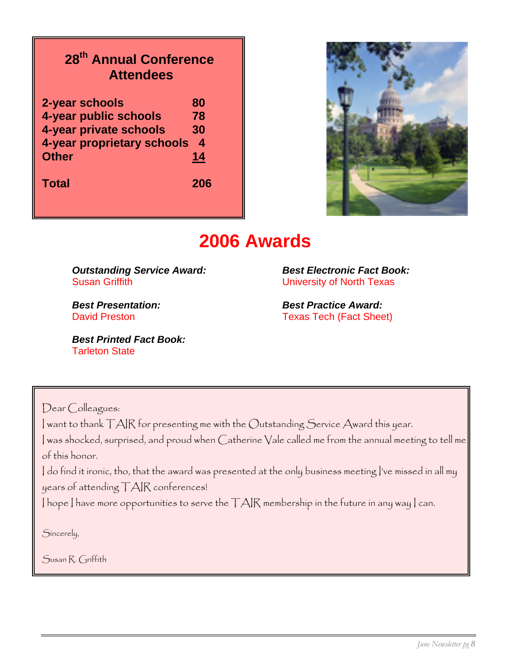### **28th Annual Conference Attendees**

| 2-year schools             | 80  |
|----------------------------|-----|
| 4-year public schools      | 78  |
| 4-year private schools     | 30  |
| 4-year proprietary schools | 4   |
| <b>Other</b>               | 14  |
| <b>Total</b>               | 206 |



### **2006 Awards**

*Outstanding Service Award:**Best Electronic Fact Book:* **Susan Griffith Community Community Community Community Community Community Community Community Community Community Community Community Community Community Community Community Community Community Community Community Commun** 

*Best Printed Fact Book:*  Tarleton State

*Best Presentation: Best Practice Award:* David Preston **Texas Tech (Fact Sheet)** 

Dear Colleagues:

I want to thank TAIR for presenting me with the Outstanding Service Award this year.

I was shocked, surprised, and proud when Catherine Vale called me from the annual meeting to tell me of this honor.

I do find it ironic, tho, that the award was presented at the only business meeting I've missed in all my years of attending TAIR conferences!

I hope I have more opportunities to serve the TAIR membership in the future in any way I can.

Sincerely,

Susan R. Griffith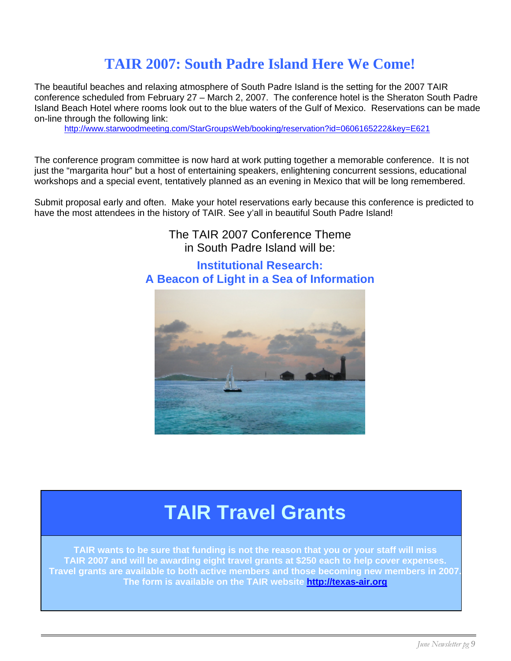### **TAIR 2007: South Padre Island H ere We Come!**

The beautiful beaches and relaxing atmosphere of South Padre Island is the setting for the 2007 TAIR conference scheduled from February 27 – March 2, 2007. The conference hotel is the Sheraton South Padre Island Beach Hotel where rooms look out to the blue waters of the Gulf of Mexico. Reservations can be made on-line through the following link:

<http://www.starwoodmeeting.com/StarGroupsWeb/booking/reservation?id=0606165222&key=E621>

The conference program committee is now hard at work putting together a memorable conference. It is not just the "margarita hour" but a host of entertaining speakers, enlightening concurrent sessions, educational workshops and a special event, tentatively planned as an evening in Mexico that will be long remembered.

Submit proposal early and often. Make your hotel reservations early because this conference is predicted to have the most attendees in the history of TAIR. See y'all in beautiful South Padre Island!

> The TAIR 2007 Conference Theme in South Padre Island will be:

#### **Institutional Research: A Beacon of Light in a Sea of Information**



## **TAIR Travel Grants**

**TAIR wants to be sure that funding is not the reason that you or your staff will miss TAIR 2007 and will be awarding eight travel grants at \$250 each to help cover expenses. Travel grants are available to both active members and those becoming new members in 2007. The form is available on the TAIR website [http://texas-air.org](http://texas-air.org/)**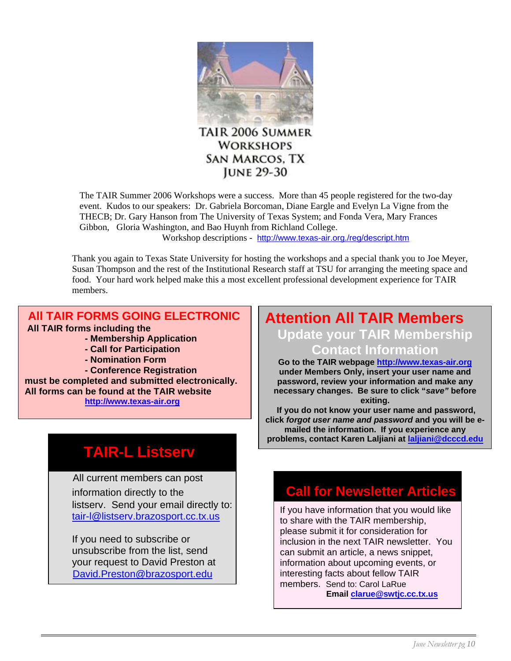

**WORKSHOPS SAN MARCOS, TX JUNE 29-30** 

The TAIR Summer 2006 Workshops were a success. More than 45 people registered for the two-day event. Kudos to our speakers: Dr. Gabriela Borcoman, Diane Eargle and Evelyn La Vigne from the THECB; Dr. Gary Hanson from The University of Texas System; and Fonda Vera, Mary Frances Gibbon, Gloria Washington, and Bao Huynh from Richland College.

Workshop descriptions - <http://www.texas-air.org./reg/descript.htm>

Thank you again to Texas State University for hosting the workshops and a special thank you to Joe Meyer, Susan Thompson and the rest of the Institutional Research staff at TSU for arranging the meeting space and food. Your hard work helped make this a most excellent professional development experience for TAIR members.

#### **All TAIR FORMS GOING ELECTRONIC All TAIR forms including the**

- **Membership Application**
- **Call for Participation**
- **Nomination Form**

 **- Conference Registration must be completed and submitted electronically. All forms can be found at the TAIR website [http://www.texas-air.org](http://www.texas-air.org/)**

### **TAIR-L Listserv**

 All current members can post listserv. Send your email directly to: [tair-l@listserv.brazosport.cc.tx.us](mailto:tair-l@listserv.brazosport.cc.tx.us)

If you need to subscribe or unsubscribe from the list, send your request to David Preston at [David.Preston@brazosport.edu](mailto:David.Preston@brazosport.edu)

### **Attention All TAIR Members Update your TAIR Membership Contact Information**

**Go to the TAIR webpage [http://www.texas-air.org](http://www.texas-air.org/)  under Members Only, insert your user name and password, review your information and make any necessary changes. Be sure to click "***save"* **before exiting.**

 **If you do not know your user name and password, click** *forgot user name and password* **and you will be emailed the information. If you experience any problems, contact Karen Laljiani at [laljiani@dcccd.edu](mailto:laljiani@dcccd.edu)** 

### information directly to the **Call for Newsletter Articles**

If you have information that you would like to share with the TAIR membership, please submit it for consideration for inclusion in the next TAIR newsletter. You can submit an article, a news snippet, information about upcoming events, or interesting facts about fellow TAIR members. Send to: Carol LaRue **Email [clarue@swtjc.cc.tx.us](mailto:clarue@swtjc.cc.tx.us)**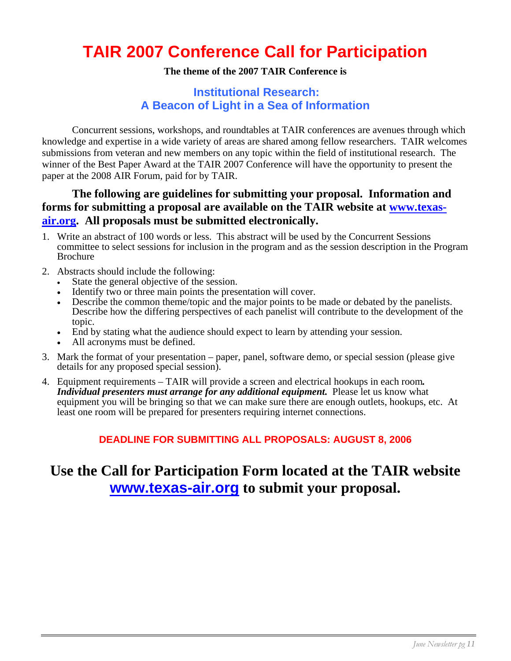### **TAIR 2007 Conference Call for Participation**

#### **The theme of the 2007 TAIR Conference is**

#### **Institutional Research: A Beacon of Light in a Sea of Information**

 Concurrent sessions, workshops, and roundtables at TAIR conferences are avenues through which knowledge and expertise in a wide variety of areas are shared among fellow researchers. TAIR welcomes submissions from veteran and new members on any topic within the field of institutional research. The winner of the Best Paper Award at the TAIR 2007 Conference will have the opportunity to present the paper at the 2008 AIR Forum, paid for by TAIR.

#### **The following are guidelines for submitting your proposal. Information and forms for submitting a proposal are available on the TAIR website at [www.texas](http://www.texas-air.org/)[air.org](http://www.texas-air.org/). All proposals must be submitted electronically.**

- 1. Write an abstract of 100 words or less. This abstract will be used by the Concurrent Sessions committee to select sessions for inclusion in the program and as the session description in the Program Brochure
- 2. Abstracts should include the following:
	- State the general objective of the session.
	- Identify two or three main points the presentation will cover.
	- Describe the common theme/topic and the major points to be made or debated by the panelists. Describe how the differing perspectives of each panelist will contribute to the development of the topic.
	- End by stating what the audience should expect to learn by attending your session.
	- All acronyms must be defined.
- 3. Mark the format of your presentation paper, panel, software demo, or special session (please give details for any proposed special session).
- 4. Equipment requirements TAIR will provide a screen and electrical hookups in each room*. Individual presenters must arrange for any additional equipment.* Please let us know what equipment you will be bringing so that we can make sure there are enough outlets, hookups, etc. At least one room will be prepared for presenters requiring internet connections.

#### **DEADLINE FOR SUBMITTING ALL PROPOSALS: AUGUST 8, 2006**

### **Use the Call for Participation Form located at the TAIR website [www.texas-air.org](http://www.texas-air.org/) to submit your proposal.**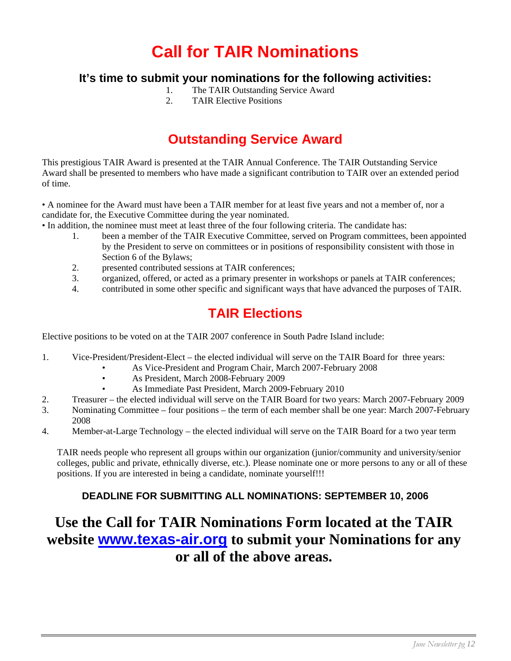## **Call for TAIR Nominations**

#### **It's time to submit your nominations for the following activities:**

- 1. The TAIR Outstanding Service Award
- 2. TAIR Elective Positions

### **Outstanding Service Award**

This prestigious TAIR Award is presented at the TAIR Annual Conference. The TAIR Outstanding Service Award shall be presented to members who have made a significant contribution to TAIR over an extended period of time.

• A nominee for the Award must have been a TAIR member for at least five years and not a member of, nor a candidate for, the Executive Committee during the year nominated.

- In addition, the nominee must meet at least three of the four following criteria. The candidate has:
	- 1. been a member of the TAIR Executive Committee, served on Program committees, been appointed by the President to serve on committees or in positions of responsibility consistent with those in Section 6 of the Bylaws;
	- 2. presented contributed sessions at TAIR conferences;
	- 3. organized, offered, or acted as a primary presenter in workshops or panels at TAIR conferences;
	- 4. contributed in some other specific and significant ways that have advanced the purposes of TAIR.

### **TAIR Elections**

Elective positions to be voted on at the TAIR 2007 conference in South Padre Island include:

- 1. Vice-President/President-Elect the elected individual will serve on the TAIR Board for three years:
	- As Vice-President and Program Chair, March 2007-February 2008
		- As President, March 2008-February 2009
		- As Immediate Past President, March 2009-February 2010
- 2. Treasurer the elected individual will serve on the TAIR Board for two years: March 2007-February 2009
- 3. Nominating Committee four positions the term of each member shall be one year: March 2007-February 2008
- 4. Member-at-Large Technology the elected individual will serve on the TAIR Board for a two year term

TAIR needs people who represent all groups within our organization (junior/community and university/senior colleges, public and private, ethnically diverse, etc.). Please nominate one or more persons to any or all of these positions. If you are interested in being a candidate, nominate yourself!!!

#### **DEADLINE FOR SUBMITTING ALL NOMINATIONS: SEPTEMBER 10, 2006**

### **Use the Call for TAIR Nominations Form located at the TAIR website [www.texas-air.org](http://www.texas-air.org/) to submit your Nominations for any or all of the above areas.**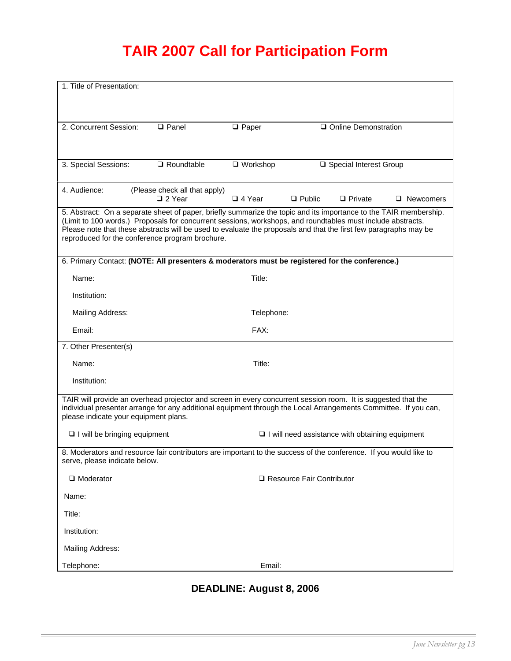### **TAIR 2007 Call for Participation Form**

| 1. Title of Presentation:                                                                                                                                                                                                                                                                                                                                                                               |                                                                                                                   |                 |                             |                                                        |                  |
|---------------------------------------------------------------------------------------------------------------------------------------------------------------------------------------------------------------------------------------------------------------------------------------------------------------------------------------------------------------------------------------------------------|-------------------------------------------------------------------------------------------------------------------|-----------------|-----------------------------|--------------------------------------------------------|------------------|
|                                                                                                                                                                                                                                                                                                                                                                                                         |                                                                                                                   |                 |                             |                                                        |                  |
| 2. Concurrent Session:                                                                                                                                                                                                                                                                                                                                                                                  | $\Box$ Panel                                                                                                      | $\Box$ Paper    |                             | □ Online Demonstration                                 |                  |
|                                                                                                                                                                                                                                                                                                                                                                                                         |                                                                                                                   |                 |                             |                                                        |                  |
| 3. Special Sessions:                                                                                                                                                                                                                                                                                                                                                                                    | $\Box$ Roundtable                                                                                                 | $\Box$ Workshop |                             | □ Special Interest Group                               |                  |
| 4. Audience:                                                                                                                                                                                                                                                                                                                                                                                            | (Please check all that apply)<br>□ 2 Year                                                                         | $\Box$ 4 Year   | $\Box$ Public               | $\Box$ Private                                         | $\Box$ Newcomers |
| 5. Abstract: On a separate sheet of paper, briefly summarize the topic and its importance to the TAIR membership.<br>(Limit to 100 words.) Proposals for concurrent sessions, workshops, and roundtables must include abstracts.<br>Please note that these abstracts will be used to evaluate the proposals and that the first few paragraphs may be<br>reproduced for the conference program brochure. |                                                                                                                   |                 |                             |                                                        |                  |
|                                                                                                                                                                                                                                                                                                                                                                                                         | 6. Primary Contact: (NOTE: All presenters & moderators must be registered for the conference.)                    |                 |                             |                                                        |                  |
| Name:                                                                                                                                                                                                                                                                                                                                                                                                   |                                                                                                                   | Title:          |                             |                                                        |                  |
| Institution:                                                                                                                                                                                                                                                                                                                                                                                            |                                                                                                                   |                 |                             |                                                        |                  |
| Mailing Address:                                                                                                                                                                                                                                                                                                                                                                                        |                                                                                                                   | Telephone:      |                             |                                                        |                  |
| Email:                                                                                                                                                                                                                                                                                                                                                                                                  |                                                                                                                   | FAX:            |                             |                                                        |                  |
| 7. Other Presenter(s)                                                                                                                                                                                                                                                                                                                                                                                   |                                                                                                                   |                 |                             |                                                        |                  |
| Name:                                                                                                                                                                                                                                                                                                                                                                                                   |                                                                                                                   | Title:          |                             |                                                        |                  |
| Institution:                                                                                                                                                                                                                                                                                                                                                                                            |                                                                                                                   |                 |                             |                                                        |                  |
| TAIR will provide an overhead projector and screen in every concurrent session room. It is suggested that the<br>individual presenter arrange for any additional equipment through the Local Arrangements Committee. If you can,<br>please indicate your equipment plans.                                                                                                                               |                                                                                                                   |                 |                             |                                                        |                  |
| $\Box$ I will be bringing equipment                                                                                                                                                                                                                                                                                                                                                                     |                                                                                                                   |                 |                             | $\Box$ I will need assistance with obtaining equipment |                  |
| serve, please indicate below.                                                                                                                                                                                                                                                                                                                                                                           | 8. Moderators and resource fair contributors are important to the success of the conference. If you would like to |                 |                             |                                                        |                  |
| $\Box$ Moderator                                                                                                                                                                                                                                                                                                                                                                                        |                                                                                                                   |                 | □ Resource Fair Contributor |                                                        |                  |
| Name:                                                                                                                                                                                                                                                                                                                                                                                                   |                                                                                                                   |                 |                             |                                                        |                  |
| Title:                                                                                                                                                                                                                                                                                                                                                                                                  |                                                                                                                   |                 |                             |                                                        |                  |
| Institution:                                                                                                                                                                                                                                                                                                                                                                                            |                                                                                                                   |                 |                             |                                                        |                  |
| Mailing Address:                                                                                                                                                                                                                                                                                                                                                                                        |                                                                                                                   |                 |                             |                                                        |                  |
| Telephone:                                                                                                                                                                                                                                                                                                                                                                                              |                                                                                                                   | Email:          |                             |                                                        |                  |

### **DEADLINE: August 8, 2006**